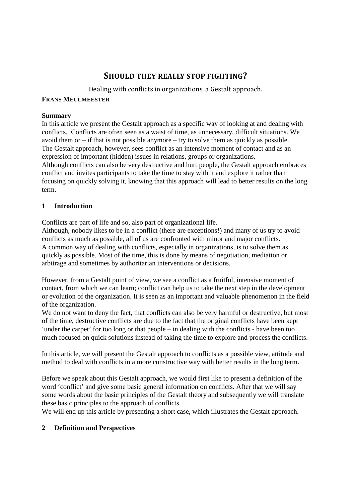# **SHOULD THEY REALLY STOP FIGHTING?**

Dealing with conflicts in organizations, a Gestalt approach.

#### **FRANS MEULMEESTER**

#### **Summary**

In this article we present the Gestalt approach as a specific way of looking at and dealing with conflicts. Conflicts are often seen as a waist of time, as unnecessary, difficult situations. We avoid them or – if that is not possible anymore – try to solve them as quickly as possible. The Gestalt approach, however, sees conflict as an intensive moment of contact and as an expression of important (hidden) issues in relations, groups or organizations. Although conflicts can also be very destructive and hurt people, the Gestalt approach embraces conflict and invites participants to take the time to stay with it and explore it rather than focusing on quickly solving it, knowing that this approach will lead to better results on the long term.

## **1 Introduction**

Conflicts are part of life and so, also part of organizational life.

Although, nobody likes to be in a conflict (there are exceptions!) and many of us try to avoid conflicts as much as possible, all of us are confronted with minor and major conflicts. A common way of dealing with conflicts, especially in organizations, is to solve them as quickly as possible. Most of the time, this is done by means of negotiation, mediation or arbitrage and sometimes by authoritarian interventions or decisions.

However, from a Gestalt point of view, we see a conflict as a fruitful, intensive moment of contact, from which we can learn; conflict can help us to take the next step in the development or evolution of the organization. It is seen as an important and valuable phenomenon in the field of the organization.

We do not want to deny the fact, that conflicts can also be very harmful or destructive, but most of the time, destructive conflicts are due to the fact that the original conflicts have been kept 'under the carpet' for too long or that people – in dealing with the conflicts - have been too much focused on quick solutions instead of taking the time to explore and process the conflicts.

In this article, we will present the Gestalt approach to conflicts as a possible view, attitude and method to deal with conflicts in a more constructive way with better results in the long term.

Before we speak about this Gestalt approach, we would first like to present a definition of the word 'conflict' and give some basic general information on conflicts. After that we will say some words about the basic principles of the Gestalt theory and subsequently we will translate these basic principles to the approach of conflicts.

We will end up this article by presenting a short case, which illustrates the Gestalt approach.

## **2 Definition and Perspectives**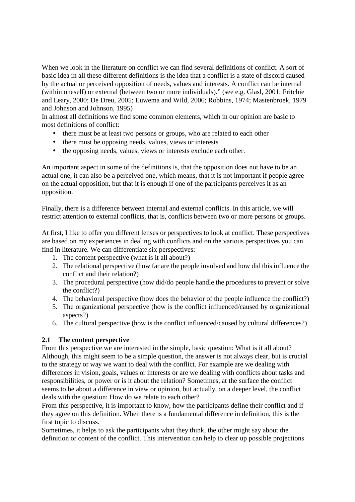When we look in the literature on conflict we can find several definitions of conflict. A sort of basic idea in all these different definitions is the idea that a conflict is a state of discord caused by the actual or perceived opposition of needs, values and interests. A conflict can be internal (within oneself) or external (between two or more individuals)." (see e.g. Glasl, 2001; Fritchie and Leary, 2000; De Dreu, 2005; Euwema and Wild, 2006; Robbins, 1974; Mastenbroek, 1979 and Johnson and Johnson, 1995)

In almost all definitions we find some common elements, which in our opinion are basic to most definitions of conflict:

- there must be at least two persons or groups, who are related to each other
- there must be opposing needs, values, views or interests
- the opposing needs, values, views or interests exclude each other.

An important aspect in some of the definitions is, that the opposition does not have to be an actual one, it can also be a perceived one, which means, that it is not important if people agree on the actual opposition, but that it is enough if one of the participants perceives it as an opposition.

Finally, there is a difference between internal and external conflicts. In this article, we will restrict attention to external conflicts, that is, conflicts between two or more persons or groups.

At first, I like to offer you different lenses or perspectives to look at conflict. These perspectives are based on my experiences in dealing with conflicts and on the various perspectives you can find in literature. We can differentiate six perspectives:

- 1. The content perspective (what is it all about?)
- 2. The relational perspective (how far are the people involved and how did this influence the conflict and their relation?)
- 3. The procedural perspective (how did/do people handle the procedures to prevent or solve the conflict?)
- 4. The behavioral perspective (how does the behavior of the people influence the conflict?)
- 5. The organizational perspective (how is the conflict influenced/caused by organizational aspects?)
- 6. The cultural perspective (how is the conflict influenced/caused by cultural differences?)

## **2.1 The content perspective**

From this perspective we are interested in the simple, basic question: What is it all about? Although, this might seem to be a simple question, the answer is not always clear, but is crucial to the strategy or way we want to deal with the conflict. For example are we dealing with differences in vision, goals, values or interests or are we dealing with conflicts about tasks and responsibilities, or power or is it about the relation? Sometimes, at the surface the conflict seems to be about a difference in view or opinion, but actually, on a deeper level, the conflict deals with the question: How do we relate to each other?

From this perspective, it is important to know, how the participants define their conflict and if they agree on this definition. When there is a fundamental difference in definition, this is the first topic to discuss.

Sometimes, it helps to ask the participants what they think, the other might say about the definition or content of the conflict. This intervention can help to clear up possible projections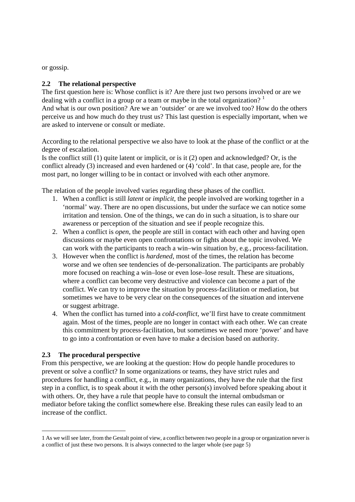or gossip.

#### **2.2 The relational perspective**

The first question here is: Whose conflict is it? Are there just two persons involved or are we dealing with a conflict in a group or a team or maybe in the total organization?  $1$ And what is our own position? Are we an 'outsider' or are we involved too? How do the others perceive us and how much do they trust us? This last question is especially important, when we are asked to intervene or consult or mediate.

According to the relational perspective we also have to look at the phase of the conflict or at the degree of escalation.

Is the conflict still (1) quite latent or implicit, or is it (2) open and acknowledged? Or, is the conflict already (3) increased and even hardened or (4) 'cold'. In that case, people are, for the most part, no longer willing to be in contact or involved with each other anymore.

The relation of the people involved varies regarding these phases of the conflict.

- 1. When a conflict is still *latent* or *implicit*, the people involved are working together in a 'normal' way. There are no open discussions, but under the surface we can notice some irritation and tension. One of the things, we can do in such a situation, is to share our awareness or perception of the situation and see if people recognize this.
- 2. When a conflict is *open*, the people are still in contact with each other and having open discussions or maybe even open confrontations or fights about the topic involved. We can work with the participants to reach a win–win situation by, e.g., process-facilitation.
- 3. However when the conflict is *hardened*, most of the times, the relation has become worse and we often see tendencies of de-personalization. The participants are probably more focused on reaching a win–lose or even lose–lose result. These are situations, where a conflict can become very destructive and violence can become a part of the conflict. We can try to improve the situation by process-facilitation or mediation, but sometimes we have to be very clear on the consequences of the situation and intervene or suggest arbitrage.
- 4. When the conflict has turned into a *cold-conflict*, we'll first have to create commitment again. Most of the times, people are no longer in contact with each other. We can create this commitment by process-facilitation, but sometimes we need more 'power' and have to go into a confrontation or even have to make a decision based on authority.

#### **2.3 The procedural perspective**

-

From this perspective, we are looking at the question: How do people handle procedures to prevent or solve a conflict? In some organizations or teams, they have strict rules and procedures for handling a conflict, e.g., in many organizations, they have the rule that the first step in a conflict, is to speak about it with the other person(s) involved before speaking about it with others. Or, they have a rule that people have to consult the internal ombudsman or mediator before taking the conflict somewhere else. Breaking these rules can easily lead to an increase of the conflict.

<sup>1</sup> As we will see later, from the Gestalt point of view, a conflict between two people in a group or organization never is a conflict of just these two persons. It is always connected to the larger whole (see page 5)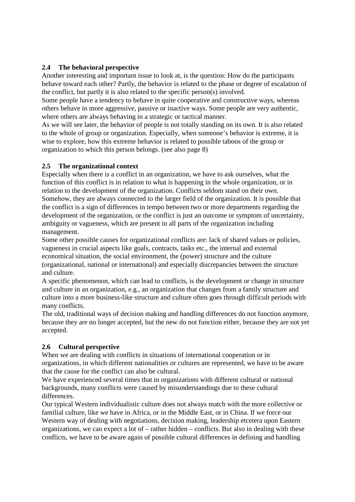## **2.4 The behavioral perspective**

Another interesting and important issue to look at, is the question: How do the participants behave toward each other? Partly, the behavior is related to the phase or degree of escalation of the conflict, but partly it is also related to the specific person(s) involved.

Some people have a tendency to behave in quite cooperative and constructive ways, whereas others behave in more aggressive, passive or inactive ways. Some people are very authentic, where others are always behaving in a strategic or tactical manner.

As we will see later, the behavior of people is not totally standing on its own. It is also related to the whole of group or organization. Especially, when someone's behavior is extreme, it is wise to explore, how this extreme behavior is related to possible taboos of the group or organization to which this person belongs. (see also page 8)

#### **2.5 The organizational context**

Especially when there is a conflict in an organization, we have to ask ourselves, what the function of this conflict is in relation to what is happening in the whole organization, or in relation to the development of the organization. Conflicts seldom stand on their own. Somehow, they are always connected to the larger field of the organization. It is possible that the conflict is a sign of differences in tempo between two or more departments regarding the development of the organization, or the conflict is just an outcome or symptom of uncertainty, ambiguity or vagueness, which are present in all parts of the organization including management.

Some other possible causes for organizational conflicts are: lack of shared values or policies, vagueness in crucial aspects like goals, contracts, tasks etc., the internal and external economical situation, the social environment, the (power) structure and the culture (organizational, national or international) and especially discrepancies between the structure and culture.

A specific phenomenon, which can lead to conflicts, is the development or change in structure and culture in an organization, e.g., an organization that changes from a family structure and culture into a more business-like structure and culture often goes through difficult periods with many conflicts.

The old, traditional ways of decision making and handling differences do not function anymore, because they are no longer accepted, but the new do not function either, because they are not yet accepted.

## **2.6 Cultural perspective**

When we are dealing with conflicts in situations of international cooperation or in organizations, in which different nationalities or cultures are represented, we have to be aware that the cause for the conflict can also be cultural.

We have experienced several times that in organizations with different cultural or national backgrounds, many conflicts were caused by misunderstandings due to these cultural differences.

Our typical Western individualistic culture does not always match with the more collective or familial culture, like we have in Africa, or in the Middle East, or in China. If we force our Western way of dealing with negotiations, decision making, leadership etcetera upon Eastern organizations, we can expect a lot of – rather hidden – conflicts. But also in dealing with these conflicts, we have to be aware again of possible cultural differences in defining and handling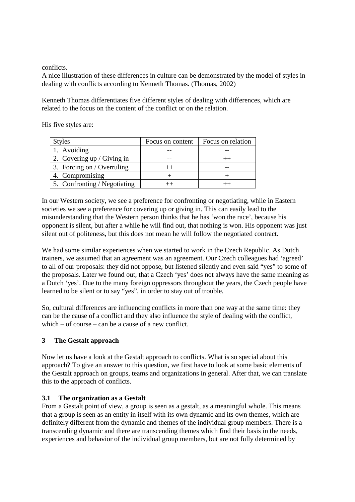conflicts.

A nice illustration of these differences in culture can be demonstrated by the model of styles in dealing with conflicts according to Kenneth Thomas. (Thomas, 2002)

Kenneth Thomas differentiates five different styles of dealing with differences, which are related to the focus on the content of the conflict or on the relation.

His five styles are:

| <b>Styles</b>                | Focus on content | Focus on relation |
|------------------------------|------------------|-------------------|
| 1. Avoiding                  |                  |                   |
| 2. Covering up / Giving in   |                  |                   |
| 3. Forcing on / Overruling   |                  |                   |
| 4. Compromising              |                  |                   |
| 5. Confronting / Negotiating |                  |                   |

In our Western society, we see a preference for confronting or negotiating, while in Eastern societies we see a preference for covering up or giving in. This can easily lead to the misunderstanding that the Western person thinks that he has 'won the race', because his opponent is silent, but after a while he will find out, that nothing is won. His opponent was just silent out of politeness, but this does not mean he will follow the negotiated contract.

We had some similar experiences when we started to work in the Czech Republic. As Dutch trainers, we assumed that an agreement was an agreement. Our Czech colleagues had 'agreed' to all of our proposals: they did not oppose, but listened silently and even said "yes" to some of the proposals. Later we found out, that a Czech 'yes' does not always have the same meaning as a Dutch 'yes'. Due to the many foreign oppressors throughout the years, the Czech people have learned to be silent or to say "yes", in order to stay out of trouble.

So, cultural differences are influencing conflicts in more than one way at the same time: they can be the cause of a conflict and they also influence the style of dealing with the conflict, which – of course – can be a cause of a new conflict.

## **3 The Gestalt approach**

Now let us have a look at the Gestalt approach to conflicts. What is so special about this approach? To give an answer to this question, we first have to look at some basic elements of the Gestalt approach on groups, teams and organizations in general. After that, we can translate this to the approach of conflicts.

## **3.1 The organization as a Gestalt**

From a Gestalt point of view, a group is seen as a gestalt, as a meaningful whole. This means that a group is seen as an entity in itself with its own dynamic and its own themes, which are definitely different from the dynamic and themes of the individual group members. There is a transcending dynamic and there are transcending themes which find their basis in the needs, experiences and behavior of the individual group members, but are not fully determined by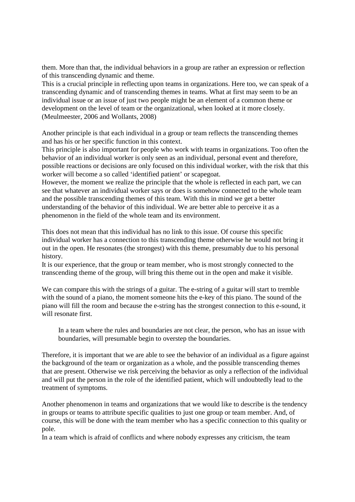them. More than that, the individual behaviors in a group are rather an expression or reflection of this transcending dynamic and theme.

This is a crucial principle in reflecting upon teams in organizations. Here too, we can speak of a transcending dynamic and of transcending themes in teams. What at first may seem to be an individual issue or an issue of just two people might be an element of a common theme or development on the level of team or the organizational, when looked at it more closely. (Meulmeester, 2006 and Wollants, 2008)

Another principle is that each individual in a group or team reflects the transcending themes and has his or her specific function in this context.

This principle is also important for people who work with teams in organizations. Too often the behavior of an individual worker is only seen as an individual, personal event and therefore, possible reactions or decisions are only focused on this individual worker, with the risk that this worker will become a so called 'identified patient' or scapegoat.

However, the moment we realize the principle that the whole is reflected in each part, we can see that whatever an individual worker says or does is somehow connected to the whole team and the possible transcending themes of this team. With this in mind we get a better understanding of the behavior of this individual. We are better able to perceive it as a phenomenon in the field of the whole team and its environment.

This does not mean that this individual has no link to this issue. Of course this specific individual worker has a connection to this transcending theme otherwise he would not bring it out in the open. He resonates (the strongest) with this theme, presumably due to his personal history.

It is our experience, that the group or team member, who is most strongly connected to the transcending theme of the group, will bring this theme out in the open and make it visible.

We can compare this with the strings of a guitar. The e-string of a guitar will start to tremble with the sound of a piano, the moment someone hits the e-key of this piano. The sound of the piano will fill the room and because the e-string has the strongest connection to this e-sound, it will resonate first.

In a team where the rules and boundaries are not clear, the person, who has an issue with boundaries, will presumable begin to overstep the boundaries.

Therefore, it is important that we are able to see the behavior of an individual as a figure against the background of the team or organization as a whole, and the possible transcending themes that are present. Otherwise we risk perceiving the behavior as only a reflection of the individual and will put the person in the role of the identified patient, which will undoubtedly lead to the treatment of symptoms.

Another phenomenon in teams and organizations that we would like to describe is the tendency in groups or teams to attribute specific qualities to just one group or team member. And, of course, this will be done with the team member who has a specific connection to this quality or pole.

In a team which is afraid of conflicts and where nobody expresses any criticism, the team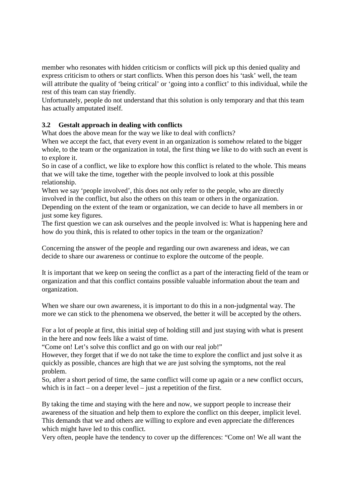member who resonates with hidden criticism or conflicts will pick up this denied quality and express criticism to others or start conflicts. When this person does his 'task' well, the team will attribute the quality of 'being critical' or 'going into a conflict' to this individual, while the rest of this team can stay friendly.

Unfortunately, people do not understand that this solution is only temporary and that this team has actually amputated itself.

## **3.2 Gestalt approach in dealing with conflicts**

What does the above mean for the way we like to deal with conflicts?

When we accept the fact, that every event in an organization is somehow related to the bigger whole, to the team or the organization in total, the first thing we like to do with such an event is to explore it.

So in case of a conflict, we like to explore how this conflict is related to the whole. This means that we will take the time, together with the people involved to look at this possible relationship.

When we say 'people involved', this does not only refer to the people, who are directly involved in the conflict, but also the others on this team or others in the organization.

Depending on the extent of the team or organization, we can decide to have all members in or just some key figures.

The first question we can ask ourselves and the people involved is: What is happening here and how do you think, this is related to other topics in the team or the organization?

Concerning the answer of the people and regarding our own awareness and ideas, we can decide to share our awareness or continue to explore the outcome of the people.

It is important that we keep on seeing the conflict as a part of the interacting field of the team or organization and that this conflict contains possible valuable information about the team and organization.

When we share our own awareness, it is important to do this in a non-judgmental way. The more we can stick to the phenomena we observed, the better it will be accepted by the others.

For a lot of people at first, this initial step of holding still and just staying with what is present in the here and now feels like a waist of time.

"Come on! Let's solve this conflict and go on with our real job!"

However, they forget that if we do not take the time to explore the conflict and just solve it as quickly as possible, chances are high that we are just solving the symptoms, not the real problem.

So, after a short period of time, the same conflict will come up again or a new conflict occurs, which is in fact – on a deeper level – just a repetition of the first.

By taking the time and staying with the here and now, we support people to increase their awareness of the situation and help them to explore the conflict on this deeper, implicit level. This demands that we and others are willing to explore and even appreciate the differences which might have led to this conflict.

Very often, people have the tendency to cover up the differences: "Come on! We all want the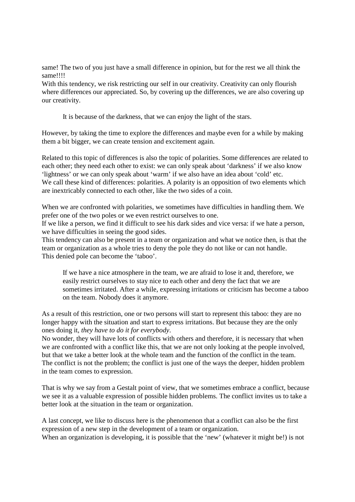same! The two of you just have a small difference in opinion, but for the rest we all think the same!!!!

With this tendency, we risk restricting our self in our creativity. Creativity can only flourish where differences our appreciated. So, by covering up the differences, we are also covering up our creativity.

It is because of the darkness, that we can enjoy the light of the stars.

However, by taking the time to explore the differences and maybe even for a while by making them a bit bigger, we can create tension and excitement again.

Related to this topic of differences is also the topic of polarities. Some differences are related to each other; they need each other to exist: we can only speak about 'darkness' if we also know 'lightness' or we can only speak about 'warm' if we also have an idea about 'cold' etc. We call these kind of differences: polarities. A polarity is an opposition of two elements which are inextricably connected to each other, like the two sides of a coin.

When we are confronted with polarities, we sometimes have difficulties in handling them. We prefer one of the two poles or we even restrict ourselves to one.

If we like a person, we find it difficult to see his dark sides and vice versa: if we hate a person, we have difficulties in seeing the good sides.

This tendency can also be present in a team or organization and what we notice then, is that the team or organization as a whole tries to deny the pole they do not like or can not handle. This denied pole can become the 'taboo'.

If we have a nice atmosphere in the team, we are afraid to lose it and, therefore, we easily restrict ourselves to stay nice to each other and deny the fact that we are sometimes irritated. After a while, expressing irritations or criticism has become a taboo on the team. Nobody does it anymore.

As a result of this restriction, one or two persons will start to represent this taboo: they are no longer happy with the situation and start to express irritations. But because they are the only ones doing it, *they have to do it for everybody*.

No wonder, they will have lots of conflicts with others and therefore, it is necessary that when we are confronted with a conflict like this, that we are not only looking at the people involved, but that we take a better look at the whole team and the function of the conflict in the team. The conflict is not the problem; the conflict is just one of the ways the deeper, hidden problem in the team comes to expression.

That is why we say from a Gestalt point of view, that we sometimes embrace a conflict, because we see it as a valuable expression of possible hidden problems. The conflict invites us to take a better look at the situation in the team or organization.

A last concept, we like to discuss here is the phenomenon that a conflict can also be the first expression of a new step in the development of a team or organization. When an organization is developing, it is possible that the 'new' (whatever it might be!) is not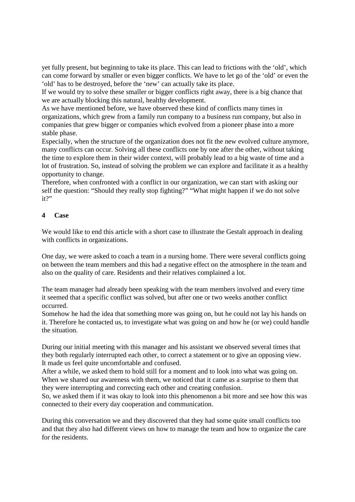yet fully present, but beginning to take its place. This can lead to frictions with the 'old', which can come forward by smaller or even bigger conflicts. We have to let go of the 'old' or even the 'old' has to be destroyed, before the 'new' can actually take its place.

If we would try to solve these smaller or bigger conflicts right away, there is a big chance that we are actually blocking this natural, healthy development.

As we have mentioned before, we have observed these kind of conflicts many times in organizations, which grew from a family run company to a business run company, but also in companies that grew bigger or companies which evolved from a pioneer phase into a more stable phase.

Especially, when the structure of the organization does not fit the new evolved culture anymore, many conflicts can occur. Solving all these conflicts one by one after the other, without taking the time to explore them in their wider context, will probably lead to a big waste of time and a lot of frustration. So, instead of solving the problem we can explore and facilitate it as a healthy opportunity to change.

Therefore, when confronted with a conflict in our organization, we can start with asking our self the question: "Should they really stop fighting?" "What might happen if we do not solve it?"

#### **4 Case**

We would like to end this article with a short case to illustrate the Gestalt approach in dealing with conflicts in organizations.

One day, we were asked to coach a team in a nursing home. There were several conflicts going on between the team members and this had a negative effect on the atmosphere in the team and also on the quality of care. Residents and their relatives complained a lot.

The team manager had already been speaking with the team members involved and every time it seemed that a specific conflict was solved, but after one or two weeks another conflict occurred.

Somehow he had the idea that something more was going on, but he could not lay his hands on it. Therefore he contacted us, to investigate what was going on and how he (or we) could handle the situation.

During our initial meeting with this manager and his assistant we observed several times that they both regularly interrupted each other, to correct a statement or to give an opposing view. It made us feel quite uncomfortable and confused.

After a while, we asked them to hold still for a moment and to look into what was going on. When we shared our awareness with them, we noticed that it came as a surprise to them that they were interrupting and correcting each other and creating confusion.

So, we asked them if it was okay to look into this phenomenon a bit more and see how this was connected to their every day cooperation and communication.

During this conversation we and they discovered that they had some quite small conflicts too and that they also had different views on how to manage the team and how to organize the care for the residents.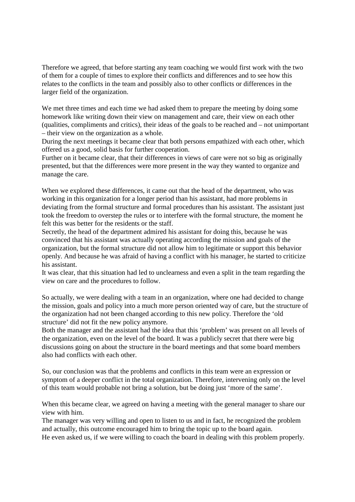Therefore we agreed, that before starting any team coaching we would first work with the two of them for a couple of times to explore their conflicts and differences and to see how this relates to the conflicts in the team and possibly also to other conflicts or differences in the larger field of the organization.

We met three times and each time we had asked them to prepare the meeting by doing some homework like writing down their view on management and care, their view on each other (qualities, compliments and critics), their ideas of the goals to be reached and – not unimportant – their view on the organization as a whole.

During the next meetings it became clear that both persons empathized with each other, which offered us a good, solid basis for further cooperation.

Further on it became clear, that their differences in views of care were not so big as originally presented, but that the differences were more present in the way they wanted to organize and manage the care.

When we explored these differences, it came out that the head of the department, who was working in this organization for a longer period than his assistant, had more problems in deviating from the formal structure and formal procedures than his assistant. The assistant just took the freedom to overstep the rules or to interfere with the formal structure, the moment he felt this was better for the residents or the staff.

Secretly, the head of the department admired his assistant for doing this, because he was convinced that his assistant was actually operating according the mission and goals of the organization, but the formal structure did not allow him to legitimate or support this behavior openly. And because he was afraid of having a conflict with his manager, he started to criticize his assistant.

It was clear, that this situation had led to unclearness and even a split in the team regarding the view on care and the procedures to follow.

So actually, we were dealing with a team in an organization, where one had decided to change the mission, goals and policy into a much more person oriented way of care, but the structure of the organization had not been changed according to this new policy. Therefore the 'old structure' did not fit the new policy anymore.

Both the manager and the assistant had the idea that this 'problem' was present on all levels of the organization, even on the level of the board. It was a publicly secret that there were big discussions going on about the structure in the board meetings and that some board members also had conflicts with each other.

So, our conclusion was that the problems and conflicts in this team were an expression or symptom of a deeper conflict in the total organization. Therefore, intervening only on the level of this team would probable not bring a solution, but be doing just 'more of the same'.

When this became clear, we agreed on having a meeting with the general manager to share our view with him.

The manager was very willing and open to listen to us and in fact, he recognized the problem and actually, this outcome encouraged him to bring the topic up to the board again. He even asked us, if we were willing to coach the board in dealing with this problem properly.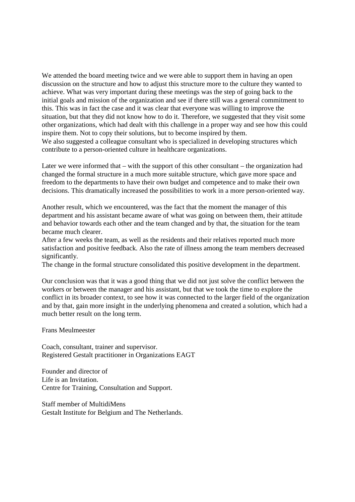We attended the board meeting twice and we were able to support them in having an open discussion on the structure and how to adjust this structure more to the culture they wanted to achieve. What was very important during these meetings was the step of going back to the initial goals and mission of the organization and see if there still was a general commitment to this. This was in fact the case and it was clear that everyone was willing to improve the situation, but that they did not know how to do it. Therefore, we suggested that they visit some other organizations, which had dealt with this challenge in a proper way and see how this could inspire them. Not to copy their solutions, but to become inspired by them. We also suggested a colleague consultant who is specialized in developing structures which

contribute to a person-oriented culture in healthcare organizations.

Later we were informed that – with the support of this other consultant – the organization had changed the formal structure in a much more suitable structure, which gave more space and freedom to the departments to have their own budget and competence and to make their own decisions. This dramatically increased the possibilities to work in a more person-oriented way.

Another result, which we encountered, was the fact that the moment the manager of this department and his assistant became aware of what was going on between them, their attitude and behavior towards each other and the team changed and by that, the situation for the team became much clearer.

After a few weeks the team, as well as the residents and their relatives reported much more satisfaction and positive feedback. Also the rate of illness among the team members decreased significantly.

The change in the formal structure consolidated this positive development in the department.

Our conclusion was that it was a good thing that we did not just solve the conflict between the workers or between the manager and his assistant, but that we took the time to explore the conflict in its broader context, to see how it was connected to the larger field of the organization and by that, gain more insight in the underlying phenomena and created a solution, which had a much better result on the long term.

Frans Meulmeester

Coach, consultant, trainer and supervisor. Registered Gestalt practitioner in Organizations EAGT

Founder and director of Life is an Invitation. Centre for Training, Consultation and Support.

Staff member of MultidiMens Gestalt Institute for Belgium and The Netherlands.